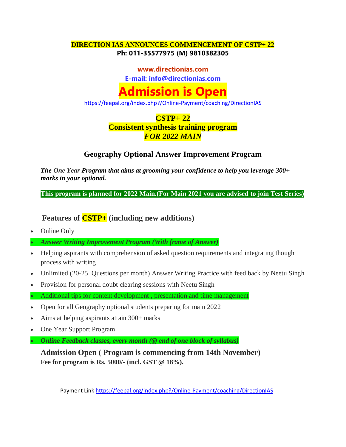#### **DIRECTION IAS ANNOUNCES COMMENCEMENT OF CSTP+ 22 Ph: 011-35577975 (M) 9810382305**

**www.directionias.com**

**E-mail: info@directionias.com**

# **Admission is Open**

<https://feepal.org/index.php?/Online-Payment/coaching/DirectionIAS>

## **CSTP+ 22**

#### **Consistent synthesis training program** *FOR 2022 MAIN*

### **Geography Optional Answer Improvement Program**

*The One Year Program that aims at grooming your confidence to help you leverage 300+ marks in your optional.*

**This program is planned for 2022 Main.(For Main 2021 you are advised to join Test Series)**

**Features of CSTP+ (including new additions)**

• Online Only

*Answer Writing Improvement Program (With frame of Answer)*

- Helping aspirants with comprehension of asked question requirements and integrating thought process with writing
- Unlimited (20-25 Questions per month) Answer Writing Practice with feed back by Neetu Singh
- Provision for personal doubt clearing sessions with Neetu Singh

Additional tips for content development , presentation and time management

- Open for all Geography optional students preparing for main 2022
- Aims at helping aspirants attain 300+ marks
- One Year Support Program
- *Online Feedback classes, every month (@ end of one block of syllabus)*

**Admission Open ( Program is commencing from 14th November) Fee for program is Rs. 5000/- (incl. GST @ 18%).**

Payment Link<https://feepal.org/index.php?/Online-Payment/coaching/DirectionIAS>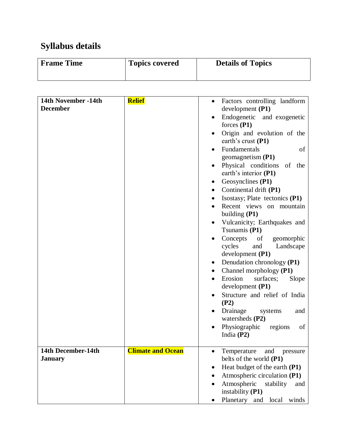## **Syllabus details**

| Frame Time | <b>Topics covered</b> | <b>Details of Topics</b> |
|------------|-----------------------|--------------------------|
|            |                       |                          |

| 14th November -14th | <b>Relief</b>            |                                              |
|---------------------|--------------------------|----------------------------------------------|
| <b>December</b>     |                          | Factors controlling landform<br>$\bullet$    |
|                     |                          | development $(P1)$                           |
|                     |                          | Endogenetic and exogenetic                   |
|                     |                          | forces $(P1)$                                |
|                     |                          | Origin and evolution of the<br>$\bullet$     |
|                     |                          | earth's crust (P1)                           |
|                     |                          | Fundamentals<br>of                           |
|                     |                          | geomagnetism $(P1)$                          |
|                     |                          | Physical conditions<br>of<br>the             |
|                     |                          | earth's interior (P1)                        |
|                     |                          | Geosynclines (P1)                            |
|                     |                          | Continental drift (P1)<br>٠                  |
|                     |                          | Isostasy; Plate tectonics (P1)<br>٠          |
|                     |                          | Recent views on mountain                     |
|                     |                          | building $(P1)$                              |
|                     |                          |                                              |
|                     |                          | Vulcanicity; Earthquakes and                 |
|                     |                          | Tsunamis (P1)                                |
|                     |                          | Concepts<br>of<br>geomorphic                 |
|                     |                          | cycles<br>and<br>Landscape                   |
|                     |                          | development $(P1)$                           |
|                     |                          | Denudation chronology (P1)<br>$\bullet$      |
|                     |                          | Channel morphology (P1)                      |
|                     |                          | Erosion<br>surfaces;<br>Slope<br>$\bullet$   |
|                     |                          | development (P1)                             |
|                     |                          | Structure and relief of India                |
|                     |                          | (P2)                                         |
|                     |                          | Drainage<br>systems<br>and                   |
|                     |                          | watersheds $(P2)$                            |
|                     |                          | Physiographic<br>regions<br>of               |
|                     |                          | India $(P2)$                                 |
|                     |                          |                                              |
| 14th December-14th  | <b>Climate and Ocean</b> | Temperature<br>and pressure                  |
| <b>January</b>      |                          | belts of the world (P1)                      |
|                     |                          | Heat budget of the earth (P1)<br>$\bullet$   |
|                     |                          | Atmospheric circulation (P1)<br>٠            |
|                     |                          | Atmospheric<br>stability<br>and<br>$\bullet$ |
|                     |                          | instability (P1)                             |
|                     |                          | Planetary and local winds                    |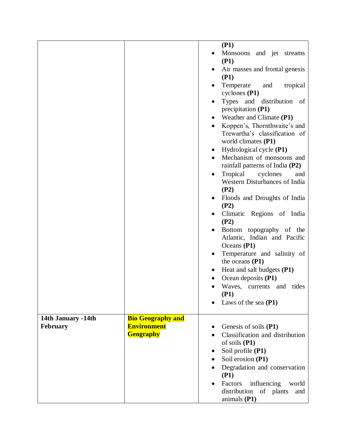|                    |                          | (P1)<br>Monsoons and jet streams                                                    |
|--------------------|--------------------------|-------------------------------------------------------------------------------------|
|                    |                          | (P1)                                                                                |
|                    |                          | Air masses and frontal genesis                                                      |
|                    |                          | (P1)                                                                                |
|                    |                          | Temperate<br>and<br>tropical<br>cyclones $(P1)$                                     |
|                    |                          | Types and distribution of<br>precipitation (P1)                                     |
|                    |                          | Weather and Climate (P1)                                                            |
|                    |                          | Koppen's, Thornthwaite's and                                                        |
|                    |                          | Trewartha's classification of                                                       |
|                    |                          | world climates $(P1)$                                                               |
|                    |                          | Hydrological cycle (P1)                                                             |
|                    |                          | Mechanism of monsoons and<br>rainfall patterns of India $(P2)$                      |
|                    |                          | Tropical<br>cyclones<br>and<br>٠                                                    |
|                    |                          | Western Disturbances of India                                                       |
|                    |                          | (P2)                                                                                |
|                    |                          | Floods and Droughts of India<br>(P2)                                                |
|                    |                          | Climatic Regions of India<br>(P2)                                                   |
|                    |                          | Bottom topography of the<br>Atlantic, Indian and Pacific<br>Oceans (P1)             |
|                    |                          | Temperature and salinity of<br>٠<br>the oceans (P1)                                 |
|                    |                          | Heat and salt budgets (P1)                                                          |
|                    |                          | Ocean deposits (P1)                                                                 |
|                    |                          | Waves, currents and tides                                                           |
|                    |                          | (P1)                                                                                |
|                    |                          | Laws of the sea $(P1)$                                                              |
| 14th January -14th | <b>Bio Geography and</b> |                                                                                     |
| February           | <b>Environment</b>       | Genesis of soils (P1)                                                               |
|                    | <b>Geography</b>         | Classification and distribution                                                     |
|                    |                          | of soils (P1)                                                                       |
|                    |                          | Soil profile (P1)                                                                   |
|                    |                          | Soil erosion (P1)                                                                   |
|                    |                          | Degradation and conservation<br>(P1)                                                |
|                    |                          | Factors<br>influencing<br>world<br>distribution<br>of plants<br>and<br>animals (P1) |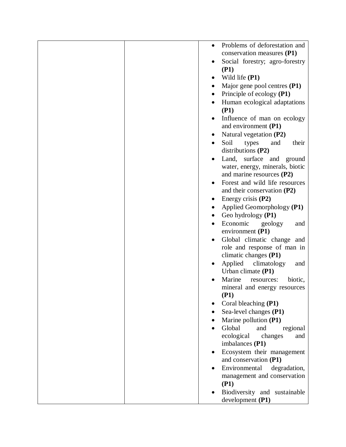|  | $\bullet$ | Problems of deforestation and        |
|--|-----------|--------------------------------------|
|  |           | conservation measures (P1)           |
|  |           | Social forestry; agro-forestry       |
|  |           | (P1)                                 |
|  |           | Wild life (P1)                       |
|  |           | Major gene pool centres (P1)         |
|  |           | Principle of ecology (P1)            |
|  |           | Human ecological adaptations         |
|  |           | (P1)                                 |
|  |           | Influence of man on ecology          |
|  |           | and environment (P1)                 |
|  |           | Natural vegetation (P2)              |
|  |           | Soil<br>types<br>and<br>their        |
|  |           | distributions (P2)                   |
|  |           | Land, surface and ground             |
|  |           | water, energy, minerals, biotic      |
|  |           | and marine resources (P2)            |
|  |           | Forest and wild life resources       |
|  |           | and their conservation $(P2)$        |
|  |           | Energy crisis $(P2)$                 |
|  |           | Applied Geomorphology (P1)           |
|  |           | Geo hydrology (P1)                   |
|  |           | Economic<br>geology<br>and           |
|  |           | environment (P1)                     |
|  |           | Global climatic change and           |
|  |           | role and response of man in          |
|  |           | climatic changes (P1)                |
|  |           | Applied climatology<br>and           |
|  |           | Urban climate $(P1)$                 |
|  |           | Marine<br>biotic,<br>resources:      |
|  |           | mineral and energy resources<br>(P1) |
|  |           | Coral bleaching (P1)                 |
|  |           | Sea-level changes (P1)               |
|  |           | Marine pollution (P1)                |
|  |           | Global<br>and<br>regional            |
|  |           | ecological<br>changes<br>and         |
|  |           | imbalances (P1)                      |
|  |           | Ecosystem their management           |
|  |           | and conservation (P1)                |
|  |           | Environmental<br>degradation,        |
|  |           | management and conservation          |
|  |           | (P1)                                 |
|  |           | Biodiversity and sustainable         |
|  |           | development (P1)                     |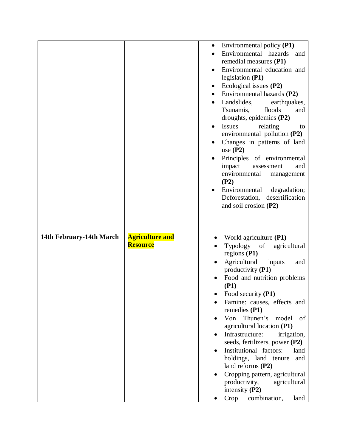|                          |                                           | Environmental policy (P1)<br>٠<br>Environmental hazards<br>and<br>remedial measures (P1)<br>Environmental education and<br>legislation (P1)<br>Ecological issues (P2)<br>Environmental hazards (P2)<br>Landslides,<br>earthquakes,<br>Tsunamis,<br>floods<br>and<br>droughts, epidemics (P2)<br><b>Issues</b><br>relating<br>to<br>environmental pollution $(P2)$<br>Changes in patterns of land<br>use $(P2)$<br>Principles<br>of environmental<br>impact<br>and<br>assessment<br>environmental<br>management<br>(P2)<br>Environmental<br>degradation;<br>Deforestation, desertification     |
|--------------------------|-------------------------------------------|-----------------------------------------------------------------------------------------------------------------------------------------------------------------------------------------------------------------------------------------------------------------------------------------------------------------------------------------------------------------------------------------------------------------------------------------------------------------------------------------------------------------------------------------------------------------------------------------------|
|                          |                                           | and soil erosion (P2)                                                                                                                                                                                                                                                                                                                                                                                                                                                                                                                                                                         |
| 14th February-14th March | <b>Agriculture and</b><br><b>Resource</b> | World agriculture (P1)<br>Typology<br>of<br>agricultural<br>regions (P1)<br>Agricultural<br>inputs<br>and<br>productivity (P1)<br>Food and nutrition problems<br>(P1)<br>Food security (P1)<br>Famine: causes, effects and<br>remedies (P1)<br>Thunen's<br>Von<br>model<br>of<br>agricultural location (P1)<br>Infrastructure:<br>irrigation,<br>seeds, fertilizers, power (P2)<br>Institutional factors:<br>land<br>holdings, land tenure<br>and<br>land reforms (P2)<br>Cropping pattern, agricultural<br>productivity,<br>agricultural<br>intensity $(P2)$<br>Crop<br>combination,<br>land |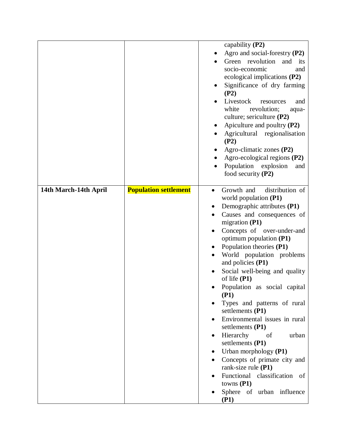|                       |                              | capability $(P2)$<br>Agro and social-forestry (P2)<br>Green revolution<br>and<br>its<br>socio-economic<br>and<br>ecological implications $(P2)$<br>Significance of dry farming<br>(P2)<br>Livestock<br>resources<br>and<br>white<br>revolution;<br>aqua-<br>culture; sericulture (P2)<br>Apiculture and poultry (P2)<br>Agricultural regionalisation<br>(P2)<br>Agro-climatic zones (P2)<br>Agro-ecological regions (P2)<br>Population explosion<br>and<br>food security $(P2)$                                                                                                                                                                                                                                                                                    |
|-----------------------|------------------------------|--------------------------------------------------------------------------------------------------------------------------------------------------------------------------------------------------------------------------------------------------------------------------------------------------------------------------------------------------------------------------------------------------------------------------------------------------------------------------------------------------------------------------------------------------------------------------------------------------------------------------------------------------------------------------------------------------------------------------------------------------------------------|
| 14th March-14th April | <b>Population settlement</b> | Growth and<br>distribution of<br>$\bullet$<br>world population (P1)<br>Demographic attributes (P1)<br>Causes and consequences of<br>migration $(P1)$<br>Concepts of over-under-and<br>$\bullet$<br>optimum population (P1)<br>Population theories (P1)<br>World population problems<br>and policies (P1)<br>Social well-being and quality<br>of life $(P1)$<br>Population as social capital<br>(P1)<br>Types and patterns of rural<br>settlements (P1)<br>Environmental issues in rural<br>settlements (P1)<br>Hierarchy<br>urban<br>of<br>$\bullet$<br>settlements (P1)<br>Urban morphology (P1)<br>٠<br>Concepts of primate city and<br>$\bullet$<br>rank-size rule (P1)<br>Functional classification<br>of<br>towns $(P1)$<br>Sphere of urban influence<br>(P1) |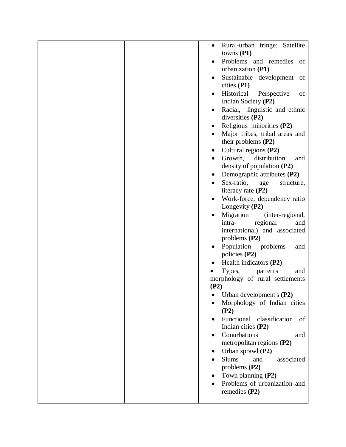|  | $\bullet$ | Rural-urban fringe; Satellite<br>towns $(P1)$                                                                  |
|--|-----------|----------------------------------------------------------------------------------------------------------------|
|  |           | Problems and remedies of                                                                                       |
|  |           | urbanization (P1)<br>Sustainable development<br>of                                                             |
|  |           | cities $(P1)$                                                                                                  |
|  |           | Historical<br>Perspective<br>of<br>Indian Society (P2)                                                         |
|  |           | Racial, linguistic and ethnic<br>diversities (P2)                                                              |
|  | ٠         | Religious minorities (P2)                                                                                      |
|  |           | Major tribes, tribal areas and<br>their problems $(P2)$                                                        |
|  |           | Cultural regions (P2)                                                                                          |
|  |           | Growth,<br>distribution<br>and<br>density of population (P2)                                                   |
|  | $\bullet$ | Demographic attributes (P2)                                                                                    |
|  |           | Sex-ratio,<br>structure,<br>age                                                                                |
|  |           | literacy rate $(P2)$                                                                                           |
|  |           | Work-force, dependency ratio<br>Longevity (P2)                                                                 |
|  |           | Migration<br>(inter-regional,<br>regional<br>intra-<br>and<br>international) and associated<br>problems $(P2)$ |
|  |           | Population<br>problems<br>and<br>policies $(P2)$                                                               |
|  |           | Health indicators (P2)                                                                                         |
|  |           | Types,<br>patterns<br>and                                                                                      |
|  | (P2)      | morphology of rural settlements                                                                                |
|  |           | Urban development's $(P2)$                                                                                     |
|  |           | Morphology of Indian cities<br>(P2)                                                                            |
|  |           | Functional classification<br>οf<br>Indian cities (P2)                                                          |
|  |           | Conurbations<br>and                                                                                            |
|  |           | metropolitan regions (P2)                                                                                      |
|  |           | Urban sprawl (P2)                                                                                              |
|  |           | <b>Slums</b><br>and<br>associated<br>problems $(P2)$                                                           |
|  |           | Town planning (P2)                                                                                             |
|  |           | Problems of urbanization and<br>remedies $(P2)$                                                                |
|  |           |                                                                                                                |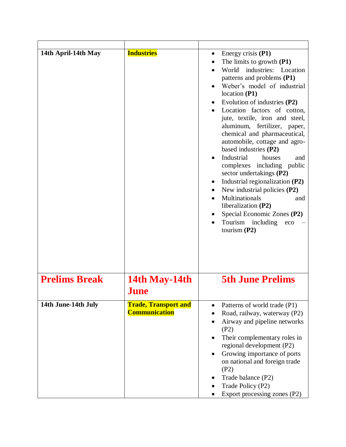| 14th April-14th May  | <b>Industries</b>                                   | Energy crisis $(P1)$<br>$\bullet$<br>The limits to growth $(P1)$<br>industries:<br>World<br>Location<br>patterns and problems (P1)<br>Weber's model of industrial<br>location(P1)<br>Evolution of industries (P2)<br>Location factors of cotton,<br>jute, textile, iron and steel,<br>aluminum, fertilizer, paper,<br>chemical and pharmaceutical,<br>automobile, cottage and agro-<br>based industries (P2)<br>Industrial<br>houses<br>and<br>complexes including public<br>sector undertakings (P2)<br>Industrial regionalization (P2)<br>New industrial policies (P2)<br>Multinationals<br>and<br>liberalization $(P2)$<br>Special Economic Zones (P2)<br>Tourism<br>including<br>eco<br>tourism $(P2)$ |
|----------------------|-----------------------------------------------------|------------------------------------------------------------------------------------------------------------------------------------------------------------------------------------------------------------------------------------------------------------------------------------------------------------------------------------------------------------------------------------------------------------------------------------------------------------------------------------------------------------------------------------------------------------------------------------------------------------------------------------------------------------------------------------------------------------|
| <b>Prelims Break</b> | 14th May-14th<br>June                               | <b>5th June Prelims</b>                                                                                                                                                                                                                                                                                                                                                                                                                                                                                                                                                                                                                                                                                    |
| 14th June-14th July  | <b>Trade, Transport and</b><br><b>Communication</b> | Patterns of world trade (P1)<br>Road, railway, waterway (P2)<br>Airway and pipeline networks<br>$\bullet$<br>(P2)<br>Their complementary roles in<br>$\bullet$<br>regional development (P2)<br>Growing importance of ports<br>$\bullet$<br>on national and foreign trade<br>(P2)<br>Trade balance (P2)<br>Trade Policy (P2)<br>Export processing zones (P2)                                                                                                                                                                                                                                                                                                                                                |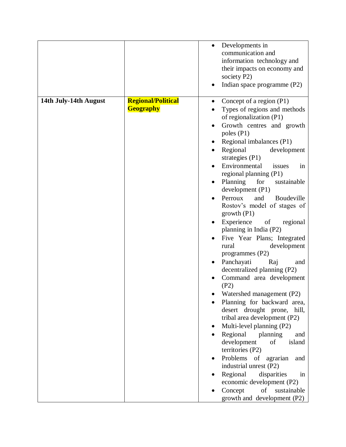|                                                                                                                                                                                                                                                                                                                                                                                                                                                                                                                                                                                                                                                                                                                                                                                                                                                                                                                                                                                                                                                                                                                                | Indian space programme (P2)                         |
|--------------------------------------------------------------------------------------------------------------------------------------------------------------------------------------------------------------------------------------------------------------------------------------------------------------------------------------------------------------------------------------------------------------------------------------------------------------------------------------------------------------------------------------------------------------------------------------------------------------------------------------------------------------------------------------------------------------------------------------------------------------------------------------------------------------------------------------------------------------------------------------------------------------------------------------------------------------------------------------------------------------------------------------------------------------------------------------------------------------------------------|-----------------------------------------------------|
| 14th July-14th August<br><b>Regional/Political</b><br>Concept of a region (P1)<br><b>Geography</b><br>Types of regions and methods<br>of regionalization (P1)<br>Growth centres and growth<br>poles $(P1)$<br>Regional imbalances (P1)<br>Regional<br>development<br>$\bullet$<br>strategies $(P1)$<br>Environmental<br>issues<br>regional planning (P1)<br>Planning<br>for<br>sustainable<br>development(P1)<br>Perroux<br>Boudeville<br>and<br>$\bullet$<br>Rostov's model of stages of<br>growth(P1)<br>Experience<br>of<br>planning in India (P2)<br>Five Year Plans; Integrated<br>rural<br>development<br>programmes $(P2)$<br>Panchayati<br>Raj<br>decentralized planning (P2)<br>Command area development<br>(P2)<br>Watershed management (P2)<br>Planning for backward area,<br>desert drought prone, hill,<br>tribal area development (P2)<br>Multi-level planning (P2)<br>Regional<br>planning<br>development<br>of<br>territories (P2)<br>Problems of<br>agrarian<br>industrial unrest (P2)<br>Regional<br>disparities<br>economic development (P2)<br>Concept<br>of<br>sustainable<br>growth and development (P2) | in<br>regional<br>and<br>and<br>island<br>and<br>in |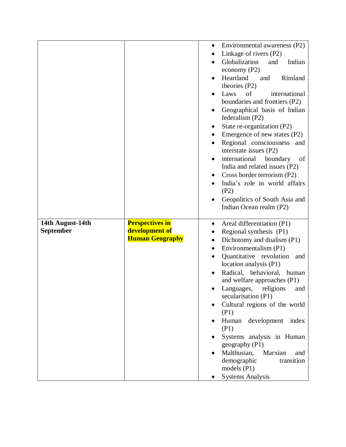|                                      |                                          | $\bullet$ | Environmental awareness (P2)                             |
|--------------------------------------|------------------------------------------|-----------|----------------------------------------------------------|
|                                      |                                          | $\bullet$ | Linkage of rivers (P2)                                   |
|                                      |                                          |           | Globalization<br>Indian<br>and                           |
|                                      |                                          |           | economy $(P2)$                                           |
|                                      |                                          | $\bullet$ | Heartland<br>Rimland<br>and                              |
|                                      |                                          |           | theories (P2)                                            |
|                                      |                                          |           | of<br>international<br>Laws                              |
|                                      |                                          |           | boundaries and frontiers (P2)                            |
|                                      |                                          |           | Geographical basis of Indian                             |
|                                      |                                          |           | federalism (P2)                                          |
|                                      |                                          |           | State re-organization (P2)                               |
|                                      |                                          |           | Emergence of new states (P2)                             |
|                                      |                                          | $\bullet$ | Regional consciousness and<br>interstate issues (P2)     |
|                                      |                                          | $\bullet$ | international<br>boundary<br>of                          |
|                                      |                                          |           | India and related issues (P2)                            |
|                                      |                                          |           | Cross border terrorism (P2)                              |
|                                      |                                          | $\bullet$ | India's role in world affairs                            |
|                                      |                                          |           | (P2)                                                     |
|                                      |                                          |           | Geopolitics of South Asia and                            |
|                                      |                                          |           | Indian Ocean realm (P2)                                  |
|                                      |                                          |           |                                                          |
| 14th August-14th<br><b>September</b> | <b>Perspectives in</b><br>development of | $\bullet$ | Areal differentiation (P1)                               |
|                                      | <b>Human Geography</b>                   |           | Regional synthesis (P1)                                  |
|                                      |                                          |           | Dichotomy and dualism (P1)                               |
|                                      |                                          |           | Environmentalism (P1)                                    |
|                                      |                                          |           | Quantitative revolution<br>and<br>location analysis (P1) |
|                                      |                                          |           | Radical, behavioral,<br>human                            |
|                                      |                                          |           | and welfare approaches (P1)                              |
|                                      |                                          |           | religions<br>Languages,<br>and                           |
|                                      |                                          |           | secularisation (P1)                                      |
|                                      |                                          |           | Cultural regions of the world                            |
|                                      |                                          |           | (P1)                                                     |
|                                      |                                          |           | development<br>Human<br>index                            |
|                                      |                                          |           | (P1)                                                     |
|                                      |                                          |           | Systems analysis in Human                                |
|                                      |                                          |           | geography (P1)                                           |
|                                      |                                          |           | Malthusian,<br>Marxian<br>and                            |
|                                      |                                          |           | transition<br>demographic                                |
|                                      |                                          |           | models $(P1)$                                            |
|                                      |                                          |           | <b>Systems Analysis</b>                                  |